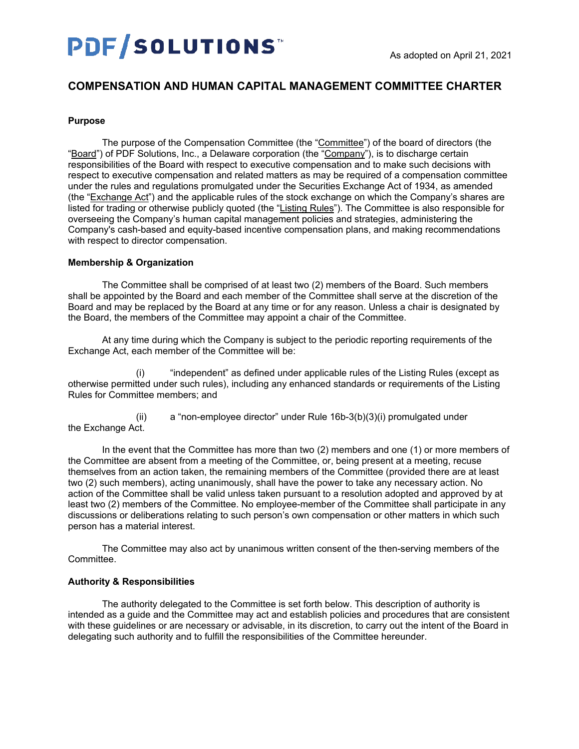# **PDF/SOLUTIONS**

# **COMPENSATION AND HUMAN CAPITAL MANAGEMENT COMMITTEE CHARTER**

#### **Purpose**

The purpose of the Compensation Committee (the "Committee") of the board of directors (the "Board") of PDF Solutions, Inc., a Delaware corporation (the "Company"), is to discharge certain responsibilities of the Board with respect to executive compensation and to make such decisions with respect to executive compensation and related matters as may be required of a compensation committee under the rules and regulations promulgated under the Securities Exchange Act of 1934, as amended (the "Exchange Act") and the applicable rules of the stock exchange on which the Company's shares are listed for trading or otherwise publicly quoted (the "Listing Rules"). The Committee is also responsible for overseeing the Company's human capital management policies and strategies, administering the Company's cash-based and equity-based incentive compensation plans, and making recommendations with respect to director compensation.

## **Membership & Organization**

The Committee shall be comprised of at least two (2) members of the Board. Such members shall be appointed by the Board and each member of the Committee shall serve at the discretion of the Board and may be replaced by the Board at any time or for any reason. Unless a chair is designated by the Board, the members of the Committee may appoint a chair of the Committee.

At any time during which the Company is subject to the periodic reporting requirements of the Exchange Act, each member of the Committee will be:

"independent" as defined under applicable rules of the Listing Rules (except as otherwise permitted under such rules), including any enhanced standards or requirements of the Listing Rules for Committee members; and

(ii) a "non-employee director" under Rule 16b-3(b)(3)(i) promulgated under the Exchange Act.

In the event that the Committee has more than two (2) members and one (1) or more members of the Committee are absent from a meeting of the Committee, or, being present at a meeting, recuse themselves from an action taken, the remaining members of the Committee (provided there are at least two (2) such members), acting unanimously, shall have the power to take any necessary action. No action of the Committee shall be valid unless taken pursuant to a resolution adopted and approved by at least two (2) members of the Committee. No employee-member of the Committee shall participate in any discussions or deliberations relating to such person's own compensation or other matters in which such person has a material interest.

The Committee may also act by unanimous written consent of the then-serving members of the **Committee.** 

#### **Authority & Responsibilities**

The authority delegated to the Committee is set forth below. This description of authority is intended as a guide and the Committee may act and establish policies and procedures that are consistent with these guidelines or are necessary or advisable, in its discretion, to carry out the intent of the Board in delegating such authority and to fulfill the responsibilities of the Committee hereunder.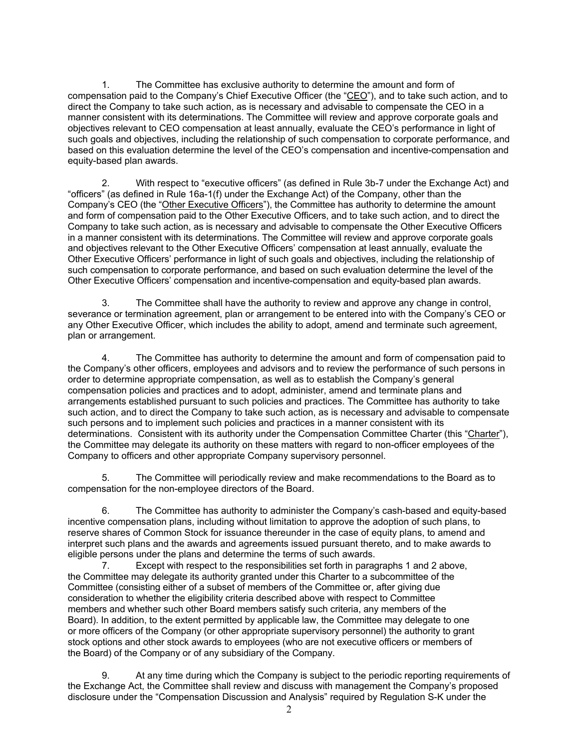1. The Committee has exclusive authority to determine the amount and form of compensation paid to the Company's Chief Executive Officer (the "CEO"), and to take such action, and to direct the Company to take such action, as is necessary and advisable to compensate the CEO in a manner consistent with its determinations. The Committee will review and approve corporate goals and objectives relevant to CEO compensation at least annually, evaluate the CEO's performance in light of such goals and objectives, including the relationship of such compensation to corporate performance, and based on this evaluation determine the level of the CEO's compensation and incentive-compensation and equity-based plan awards.

2. With respect to "executive officers" (as defined in Rule 3b-7 under the Exchange Act) and "officers" (as defined in Rule 16a-1(f) under the Exchange Act) of the Company, other than the Company's CEO (the "Other Executive Officers"), the Committee has authority to determine the amount and form of compensation paid to the Other Executive Officers, and to take such action, and to direct the Company to take such action, as is necessary and advisable to compensate the Other Executive Officers in a manner consistent with its determinations. The Committee will review and approve corporate goals and objectives relevant to the Other Executive Officers' compensation at least annually, evaluate the Other Executive Officers' performance in light of such goals and objectives, including the relationship of such compensation to corporate performance, and based on such evaluation determine the level of the Other Executive Officers' compensation and incentive-compensation and equity-based plan awards.

3. The Committee shall have the authority to review and approve any change in control, severance or termination agreement, plan or arrangement to be entered into with the Company's CEO or any Other Executive Officer, which includes the ability to adopt, amend and terminate such agreement, plan or arrangement.

4. The Committee has authority to determine the amount and form of compensation paid to the Company's other officers, employees and advisors and to review the performance of such persons in order to determine appropriate compensation, as well as to establish the Company's general compensation policies and practices and to adopt, administer, amend and terminate plans and arrangements established pursuant to such policies and practices. The Committee has authority to take such action, and to direct the Company to take such action, as is necessary and advisable to compensate such persons and to implement such policies and practices in a manner consistent with its determinations. Consistent with its authority under the Compensation Committee Charter (this "Charter"), the Committee may delegate its authority on these matters with regard to non-officer employees of the Company to officers and other appropriate Company supervisory personnel.

5. The Committee will periodically review and make recommendations to the Board as to compensation for the non-employee directors of the Board.

6. The Committee has authority to administer the Company's cash-based and equity-based incentive compensation plans, including without limitation to approve the adoption of such plans, to reserve shares of Common Stock for issuance thereunder in the case of equity plans, to amend and interpret such plans and the awards and agreements issued pursuant thereto, and to make awards to eligible persons under the plans and determine the terms of such awards.

7. Except with respect to the responsibilities set forth in paragraphs 1 and 2 above, the Committee may delegate its authority granted under this Charter to a subcommittee of the Committee (consisting either of a subset of members of the Committee or, after giving due consideration to whether the eligibility criteria described above with respect to Committee members and whether such other Board members satisfy such criteria, any members of the Board). In addition, to the extent permitted by applicable law, the Committee may delegate to one or more officers of the Company (or other appropriate supervisory personnel) the authority to grant stock options and other stock awards to employees (who are not executive officers or members of the Board) of the Company or of any subsidiary of the Company.

9. At any time during which the Company is subject to the periodic reporting requirements of the Exchange Act, the Committee shall review and discuss with management the Company's proposed disclosure under the "Compensation Discussion and Analysis" required by Regulation S-K under the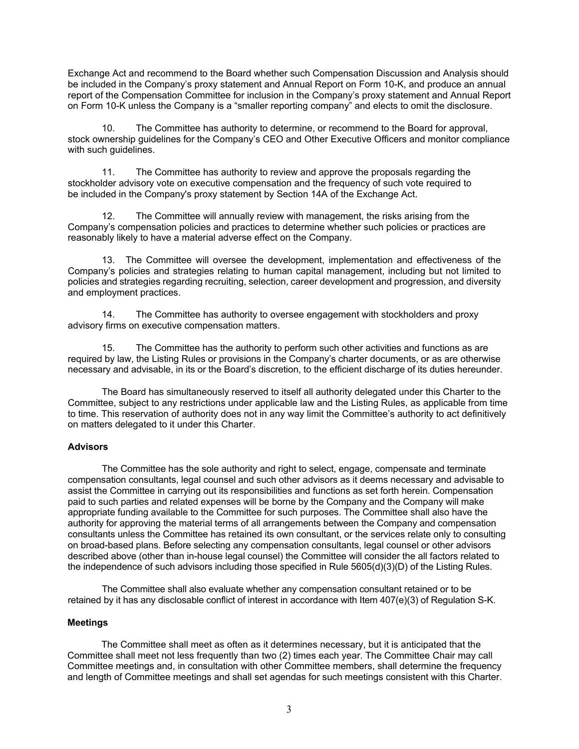Exchange Act and recommend to the Board whether such Compensation Discussion and Analysis should be included in the Company's proxy statement and Annual Report on Form 10-K, and produce an annual report of the Compensation Committee for inclusion in the Company's proxy statement and Annual Report on Form 10-K unless the Company is a "smaller reporting company" and elects to omit the disclosure.

10. The Committee has authority to determine, or recommend to the Board for approval, stock ownership guidelines for the Company's CEO and Other Executive Officers and monitor compliance with such quidelines.

11. The Committee has authority to review and approve the proposals regarding the stockholder advisory vote on executive compensation and the frequency of such vote required to be included in the Company's proxy statement by Section 14A of the Exchange Act.

12. The Committee will annually review with management, the risks arising from the Company's compensation policies and practices to determine whether such policies or practices are reasonably likely to have a material adverse effect on the Company.

13. The Committee will oversee the development, implementation and effectiveness of the Company's policies and strategies relating to human capital management, including but not limited to policies and strategies regarding recruiting, selection, career development and progression, and diversity and employment practices.

14. The Committee has authority to oversee engagement with stockholders and proxy advisory firms on executive compensation matters.

15. The Committee has the authority to perform such other activities and functions as are required by law, the Listing Rules or provisions in the Company's charter documents, or as are otherwise necessary and advisable, in its or the Board's discretion, to the efficient discharge of its duties hereunder.

The Board has simultaneously reserved to itself all authority delegated under this Charter to the Committee, subject to any restrictions under applicable law and the Listing Rules, as applicable from time to time. This reservation of authority does not in any way limit the Committee's authority to act definitively on matters delegated to it under this Charter.

#### **Advisors**

The Committee has the sole authority and right to select, engage, compensate and terminate compensation consultants, legal counsel and such other advisors as it deems necessary and advisable to assist the Committee in carrying out its responsibilities and functions as set forth herein. Compensation paid to such parties and related expenses will be borne by the Company and the Company will make appropriate funding available to the Committee for such purposes. The Committee shall also have the authority for approving the material terms of all arrangements between the Company and compensation consultants unless the Committee has retained its own consultant, or the services relate only to consulting on broad-based plans. Before selecting any compensation consultants, legal counsel or other advisors described above (other than in-house legal counsel) the Committee will consider the all factors related to the independence of such advisors including those specified in Rule 5605(d)(3)(D) of the Listing Rules.

The Committee shall also evaluate whether any compensation consultant retained or to be retained by it has any disclosable conflict of interest in accordance with Item 407(e)(3) of Regulation S-K.

#### **Meetings**

The Committee shall meet as often as it determines necessary, but it is anticipated that the Committee shall meet not less frequently than two (2) times each year. The Committee Chair may call Committee meetings and, in consultation with other Committee members, shall determine the frequency and length of Committee meetings and shall set agendas for such meetings consistent with this Charter.